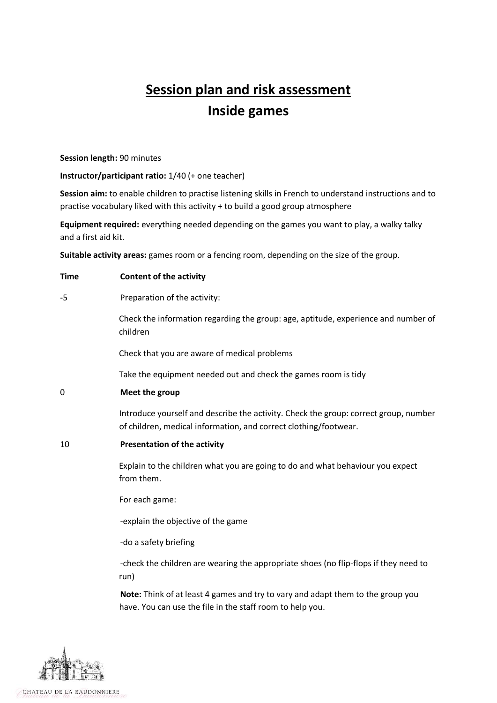## **Session plan and risk assessment Inside games**

**Session length:** 90 minutes

**Instructor/participant ratio:** 1/40 (+ one teacher)

**Session aim:** to enable children to practise listening skills in French to understand instructions and to practise vocabulary liked with this activity + to build a good group atmosphere

**Equipment required:** everything needed depending on the games you want to play, a walky talky and a first aid kit.

**Suitable activity areas:** games room or a fencing room, depending on the size of the group.

| <b>Time</b> | <b>Content of the activity</b>                                                                                                                           |  |  |  |  |
|-------------|----------------------------------------------------------------------------------------------------------------------------------------------------------|--|--|--|--|
| -5          | Preparation of the activity:                                                                                                                             |  |  |  |  |
|             | Check the information regarding the group: age, aptitude, experience and number of<br>children                                                           |  |  |  |  |
|             | Check that you are aware of medical problems                                                                                                             |  |  |  |  |
|             | Take the equipment needed out and check the games room is tidy                                                                                           |  |  |  |  |
| 0           | Meet the group                                                                                                                                           |  |  |  |  |
|             | Introduce yourself and describe the activity. Check the group: correct group, number<br>of children, medical information, and correct clothing/footwear. |  |  |  |  |
| 10          | <b>Presentation of the activity</b>                                                                                                                      |  |  |  |  |
|             | Explain to the children what you are going to do and what behaviour you expect<br>from them.                                                             |  |  |  |  |
|             | For each game:                                                                                                                                           |  |  |  |  |
|             | -explain the objective of the game                                                                                                                       |  |  |  |  |
|             | -do a safety briefing                                                                                                                                    |  |  |  |  |
|             | -check the children are wearing the appropriate shoes (no flip-flops if they need to<br>run)                                                             |  |  |  |  |
|             | Note: Think of at least 4 games and try to vary and adapt them to the group you<br>have. You can use the file in the staff room to help you.             |  |  |  |  |

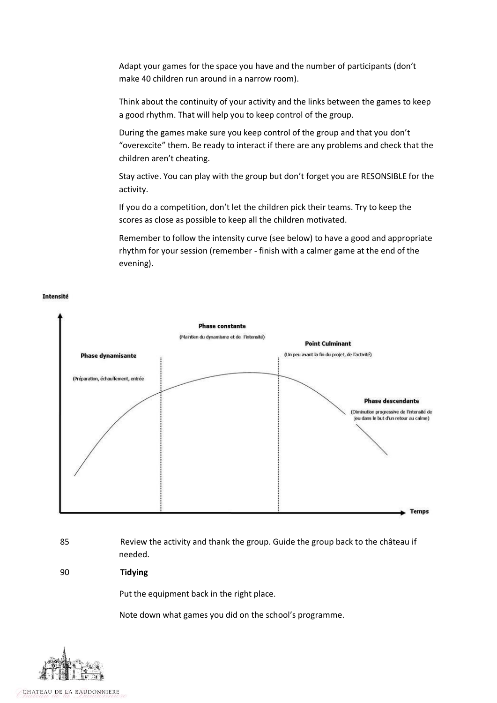Adapt your games for the space you have and the number of participants (don't make 40 children run around in a narrow room).

Think about the continuity of your activity and the links between the games to keep a good rhythm. That will help you to keep control of the group.

During the games make sure you keep control of the group and that you don't "overexcite" them. Be ready to interact if there are any problems and check that the children aren't cheating.

Stay active. You can play with the group but don't forget you are RESONSIBLE for the activity.

If you do a competition, don't let the children pick their teams. Try to keep the scores as close as possible to keep all the children motivated.

Remember to follow the intensity curve (see below) to have a good and appropriate rhythm for your session (remember - finish with a calmer game at the end of the evening).



## Intensité

85 Review the activity and thank the group. Guide the group back to the château if needed.

90 **Tidying**

Put the equipment back in the right place.

Note down what games you did on the school's programme.



CHATEAU DE LA BAUDONNIERE